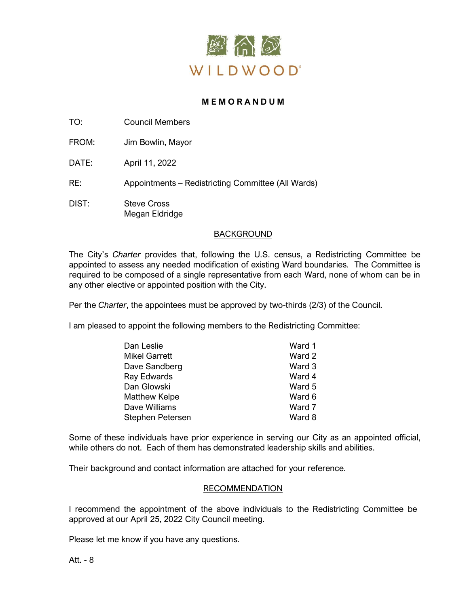

# **M E M O R A N D U M**

TO: Council Members

FROM: Jim Bowlin, Mayor

DATE: April 11, 2022

RE: Appointments – Redistricting Committee (All Wards)

DIST: Steve Cross Megan Eldridge

# BACKGROUND

The City's *Charter* provides that, following the U.S. census, a Redistricting Committee be appointed to assess any needed modification of existing Ward boundaries. The Committee is required to be composed of a single representative from each Ward, none of whom can be in any other elective or appointed position with the City.

Per the *Charter*, the appointees must be approved by two-thirds (2/3) of the Council.

I am pleased to appoint the following members to the Redistricting Committee:

| Dan Leslie       | Ward 1 |
|------------------|--------|
| Mikel Garrett    | Ward 2 |
| Dave Sandberg    | Ward 3 |
| Ray Edwards      | Ward 4 |
| Dan Glowski      | Ward 5 |
| Matthew Kelpe    | Ward 6 |
| Dave Williams    | Ward 7 |
| Stephen Petersen | Ward 8 |

Some of these individuals have prior experience in serving our City as an appointed official, while others do not. Each of them has demonstrated leadership skills and abilities.

Their background and contact information are attached for your reference.

## RECOMMENDATION

I recommend the appointment of the above individuals to the Redistricting Committee be approved at our April 25, 2022 City Council meeting.

Please let me know if you have any questions.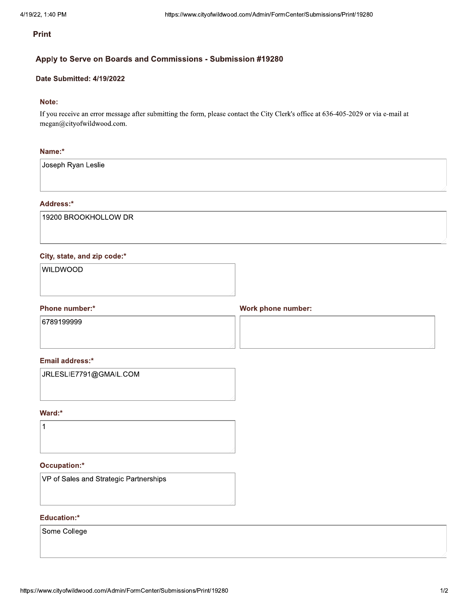## Apply to Serve on Boards and Commissions - Submission #19280

## Date Submitted: 4/19/2022

## Note:

If you receive an error message after submitting the form, please contact the City Clerk's office at 636-405-2029 or via e-mail at megan@cityofwildwood.com.

#### Name:\*

Joseph Ryan Leslie

#### Address:\*

19200 BROOKHOLLOW DR

#### City, state, and zip code:\*

WILDWOOD

## Phone number:\*

**Work phone number:** 

6789199999

#### Email address:\*

JRLESLIE7791@GMAIL.COM

## Ward:\*

 $\mathbf{1}$ 

## Occupation:\*

VP of Sales and Strategic Partnerships

## **Education:\***

Some College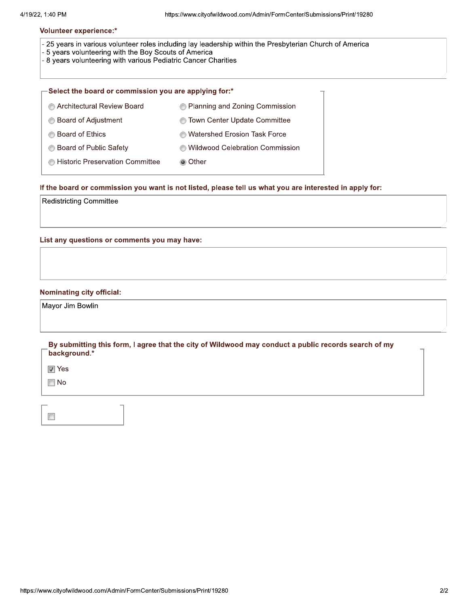- 25 years in various volunteer roles including lay leadership within the Presbyterian Church of America
- 5 years volunteering with the Boy Scouts of America
- 8 years volunteering with various Pediatric Cancer Charities

| $\mathsf{\rightarrow}$ Select the board or commission you are applying for:* |                                     |
|------------------------------------------------------------------------------|-------------------------------------|
| Architectural Review Board                                                   | • Planning and Zoning Commission    |
| <b>Board of Adjustment</b>                                                   | <b>Town Center Update Committee</b> |
| <b>Board of Ethics</b>                                                       | <b>Watershed Erosion Task Force</b> |
| <b>Board of Public Safety</b>                                                | Wildwood Celebration Commission     |
| <b>E</b> Historic Preservation Committee                                     | ◉ Other                             |

If the board or commission you want is not listed, please tell us what you are interested in apply for:

**Redistricting Committee** 

List any questions or comments you may have:

#### **Nominating city official:**

Mayor Jim Bowlin

By submitting this form, I agree that the city of Wildwood may conduct a public records search of my background.\*

 $\blacksquare$  Yes

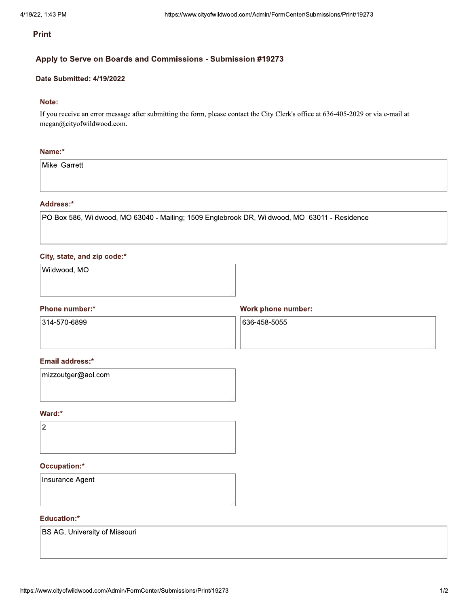## Apply to Serve on Boards and Commissions - Submission #19273

#### Date Submitted: 4/19/2022

## Note:

If you receive an error message after submitting the form, please contact the City Clerk's office at 636-405-2029 or via e-mail at megan@cityofwildwood.com.

#### Name:\*

Mikel Garrett

#### Address:\*

PO Box 586, Wildwood, MO 63040 - Mailing; 1509 Englebrook DR, Wildwood, MO 63011 - Residence

#### City, state, and zip code:\*

Wildwood, MO

#### Phone number:\*

**Work phone number:** 

314-570-6899

636-458-5055

#### Email address:\*

| mizzoutger@aol.com |  |  |
|--------------------|--|--|
|                    |  |  |
|                    |  |  |

## Ward:\*

 $\overline{2}$ 

# Occupation:\*

Insurance Agent

## **Education:\***

BS AG, University of Missouri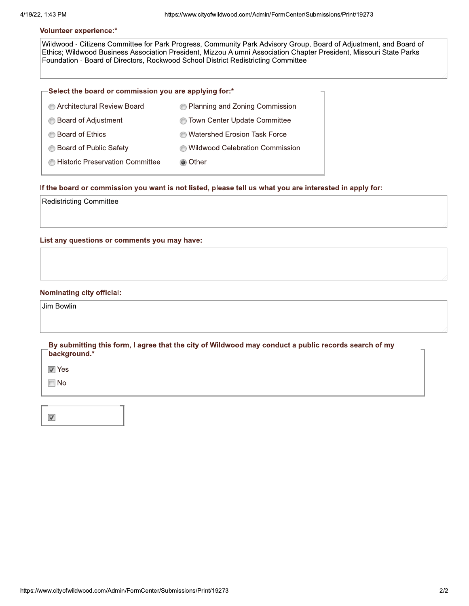Wildwood - Citizens Committee for Park Progress, Community Park Advisory Group, Board of Adjustment, and Board of Ethics; Wildwood Business Association President, Mizzou Alumni Association Chapter President, Missouri State Parks Foundation - Board of Directors, Rockwood School District Redistricting Committee

| $\mathbf -$ Select the board or commission you are applying for:* |                                        |
|-------------------------------------------------------------------|----------------------------------------|
| Architectural Review Board                                        | <b>Planning and Zoning Commission</b>  |
| Board of Adjustment                                               | <b>Town Center Update Committee</b>    |
| <b>Board of Ethics</b>                                            | <b>Watershed Erosion Task Force</b>    |
| Board of Public Safety                                            | <b>Mildwood Celebration Commission</b> |
| Historic Preservation Committee                                   | ◉ Other                                |
|                                                                   |                                        |

If the board or commission you want is not listed, please tell us what you are interested in apply for:

**Redistricting Committee** 

List any questions or comments you may have:

#### **Nominating city official:**

Jim Bowlin

By submitting this form, I agree that the city of Wildwood may conduct a public records search of my background.\*

 $\boxed{V}$  Yes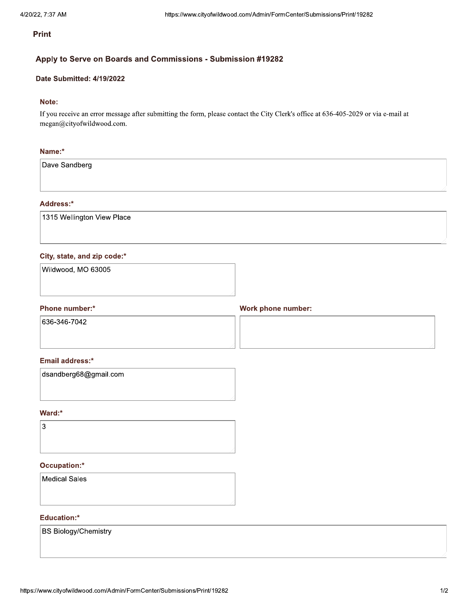## Apply to Serve on Boards and Commissions - Submission #19282

## Date Submitted: 4/19/2022

## Note:

If you receive an error message after submitting the form, please contact the City Clerk's office at 636-405-2029 or via e-mail at megan@cityofwildwood.com.

#### Name:\*

Dave Sandberg

#### Address:\*

1315 Wellington View Place

### City, state, and zip code:\*

| Wildwood, MO 63005 |  |  |
|--------------------|--|--|
|                    |  |  |

## Phone number:\*

**Work phone number:** 

636-346-7042

## Email address:\*

| dsandberg68@gmail.com |  |  |
|-----------------------|--|--|
|                       |  |  |
|                       |  |  |

## Ward:\*



## Occupation:\*

**Medical Sales** 

#### **Education:\***

**BS Biology/Chemistry**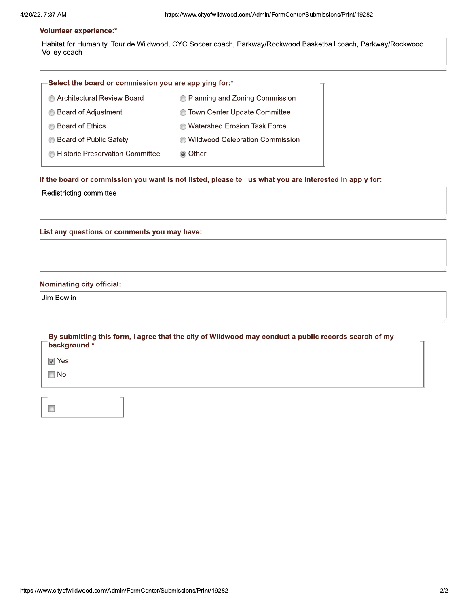Habitat for Humanity, Tour de Wildwood, CYC Soccer coach, Parkway/Rockwood Basketball coach, Parkway/Rockwood Volley coach

#### -Select the board or commission you are applying for:\*

| Architectural Review Board      | Relanning and Zoning Commission        |
|---------------------------------|----------------------------------------|
| <b>Board of Adjustment</b>      | <b>Town Center Update Committee</b>    |
| <b>Board of Ethics</b>          | <b>Matershed Erosion Task Force</b>    |
| Board of Public Safety          | <b>Mildwood Celebration Commission</b> |
| Historic Preservation Committee | ◉ Other                                |

#### If the board or commission you want is not listed, please tell us what you are interested in apply for:

Redistricting committee

List any questions or comments you may have:

#### **Nominating city official:**

Jim Bowlin

By submitting this form, I agree that the city of Wildwood may conduct a public records search of my background.\*

 $\boxed{V}$  Yes

|--|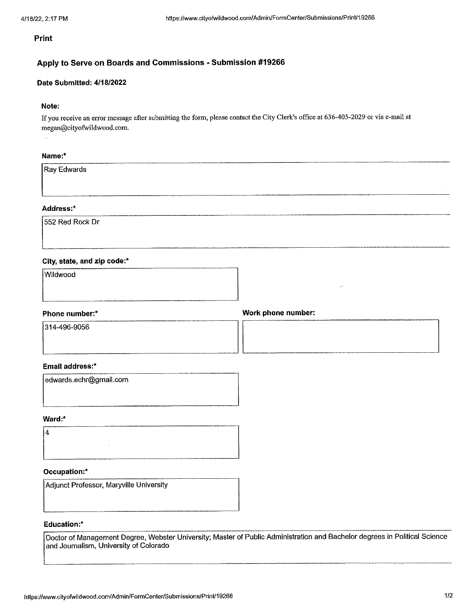## Apply to Serve on Boards and Commissions - Submission #19266

#### Date Submitted: 4/18/2022

## Note:

If you receive an error message after submitting the form, please contact the City Clerk's office at 636-405-2029 or via e-mail at megan@cityofwildwood.com.

## Name:\*

|  | Ray Edwards |  |
|--|-------------|--|
|--|-------------|--|

## Address:\*

552 Red Rock Dr

## City, state, and zip code:\*

| Wildwood |  | <b>STARTED AT THE ASSESSED FOR THE R</b> |
|----------|--|------------------------------------------|
|          |  |                                          |
|          |  |                                          |

## Phone number:\*

Work phone number:

314-496-9056

#### Email address:\*

| edwards.echr@gmail.com |
|------------------------|
|                        |
|                        |
|                        |
|                        |
|                        |
|                        |
|                        |

#### Ward:\*

 $\overline{4}$ 

## Occupation:\*

Adjunct Professor, Maryville University

## Education:\*

Doctor of Management Degree, Webster University; Master of Public Administration and Bachelor degrees in Political Science and Journalism, University of Colorado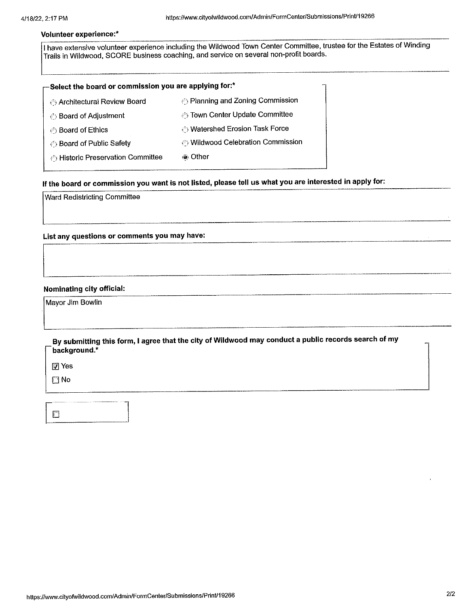I have extensive volunteer experience including the Wildwood Town Center Committee, trustee for the Estates of Winding Trails in Wildwood, SCORE business coaching, and service on several non-profit boards.

| -Select the board or commission you are applying for:* |                                                              |
|--------------------------------------------------------|--------------------------------------------------------------|
| Architectural Review Board                             | <b><i>C</i></b> Planning and Zoning Commission               |
| ⊙ Board of Adjustment                                  | <b><i><b>Town Center Update Committee</b></i></b>            |
| ⊙ Board of Ethics                                      | <b>O</b> Watershed Erosion Task Force                        |
| <b>Board of Public Safety</b>                          | <b><i><sup>25</sup>)</i></b> Wildwood Celebration Commission |
| Alistoric Preservation Committee                       | ⊚ Other                                                      |
|                                                        |                                                              |

# If the board or commission you want is not listed, please tell us what you are interested in apply for:

Ward Redistricting Committee

List any questions or comments you may have:

#### Nominating city official:

Mayor Jim Bowlin

By submitting this form, I agree that the city of Wildwood may conduct a public records search of my background.\*

 $\boxed{7}$  Yes

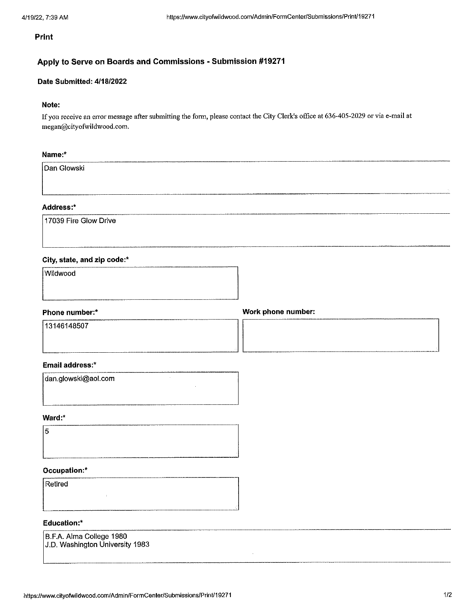# Apply to Serve on Boards and Commissions - Submission #19271

## Date Submitted: 4/18/2022

## Note:

If you receive an error message after submitting the form, please contact the City Clerk's office at 636-405-2029 or via e-mail at megan@cityofwildwood.com.

## Name:\*

Dan Glowski

## Address:\*

17039 Fire Glow Drive

## City, state, and zip code:\*

Wildwood

|      |  | -----<br>--- | $\sim$ |
|------|--|--------------|--------|
| ____ |  |              |        |

## Phone number:\*

13146148507

Work phone number:

## Email address:\*

| dan.glowski@aol.com |  |
|---------------------|--|
|                     |  |
|                     |  |

## Ward:\*

5

## Occupation:\*

Retired

# **Education:\***

B.F.A. Alma College 1980 J.D. Washington University 1983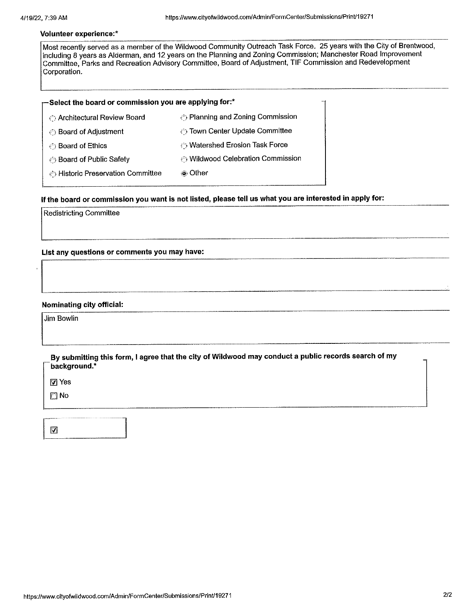Most recently served as a member of the Wildwood Community Outreach Task Force. 25 years with the City of Brentwood, including 8 years as Alderman, and 12 years on the Planning and Zoning Commission; Manchester Road Improvement Committee, Parks and Recreation Advisory Committee, Board of Adjustment, TIF Commission and Redevelopment Corporation.

| $\Gamma$ Select the board or commission you are applying for:* |  |
|----------------------------------------------------------------|--|
|----------------------------------------------------------------|--|

| ⊙ Architectural Review Board            | $\binom{3}{2}$ Planning and Zoning Commission |
|-----------------------------------------|-----------------------------------------------|
| ◯ Board of Adjustment                   | © Town Center Update Committee                |
| ⊙ Board of Ethics                       | ⊙ Watershed Erosion Task Force                |
| <b>Board of Public Safety</b>           | ⊙ Wildwood Celebration Commission             |
| <b>Alistoric Preservation Committee</b> | ⊚ Other                                       |
|                                         |                                               |

# If the board or commission you want is not listed, please tell us what you are interested in apply for:

**Redistricting Committee** 

List any questions or comments you may have:

#### Nominating city official:

Jim Bowlin

By submitting this form, I agree that the city of Wildwood may conduct a public records search of my background.\*

 $\boxdot$  Yes

 $\square$  No

| --- |
|-----|
| ۰   |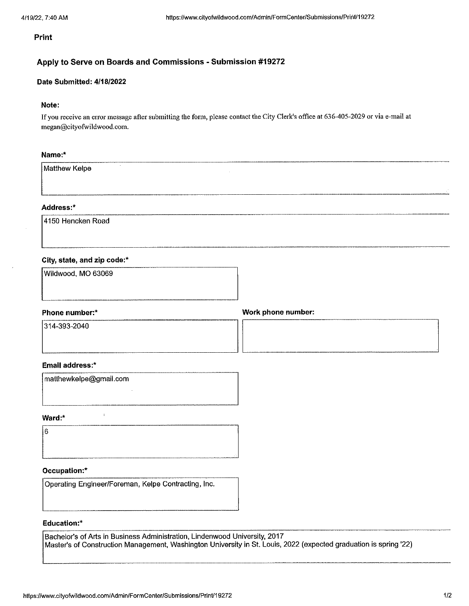# Apply to Serve on Boards and Commissions - Submission #19272

# Date Submitted: 4/18/2022

#### Note:

If you receive an error message after submitting the form, please contact the City Clerk's office at 636-405-2029 or via e-mail at megan@cityofwildwood.com.

## Name:\*

Matthew Kelpe

## Address:\*

4150 Hencken Road

## City, state, and zip code:\*

| Wildwood, MO 63069 |  |  |
|--------------------|--|--|
|                    |  |  |
|                    |  |  |

#### Phone number:\*

Work phone number:

314-393-2040

#### **Email address:\***

matthewkelpe@gmail.com

 $\epsilon$ 

#### Ward:\*

l6

## Occupation:\*

Operating Engineer/Foreman, Kelpe Contracting, Inc.

### **Education:\***

Bachelor's of Arts in Business Administration, Lindenwood University, 2017 Master's of Construction Management, Washington University in St. Louis, 2022 (expected graduation is spring '22)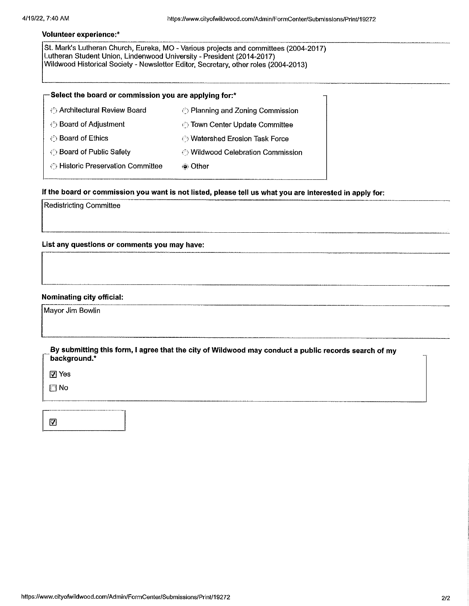St. Mark's Lutheran Church, Eureka, MO - Various projects and committees (2004-2017) Lutheran Student Union, Lindenwood University - President (2014-2017) Wildwood Historical Society - Newsletter Editor, Secretary, other roles (2004-2013)

| $-$ Select the board or commission you are applying for:*  |                                       |  |
|------------------------------------------------------------|---------------------------------------|--|
| ← Architectural Review Board                               | @ Planning and Zoning Commission      |  |
| ⊙ Board of Adjustment                                      | town Center Update Committee          |  |
| ◯ Board of Ethics                                          | <b>O</b> Watershed Erosion Task Force |  |
| <b><i>Soard of Public Safety</i></b>                       | ⊙ Wildwood Celebration Commission     |  |
| <b><i>S</i></b> Historic Preservation Committee<br>⊚ Other |                                       |  |
|                                                            |                                       |  |

# If the board or commission you want is not listed, please tell us what you are interested in apply for:

**Redistricting Committee** 

List any questions or comments you may have:

#### Nominating city official:

Mayor Jim Bowlin

| By submitting this form, I agree that the city of Wildwood may conduct a public records search of my<br>background.* |  |
|----------------------------------------------------------------------------------------------------------------------|--|
| 网 Yes                                                                                                                |  |
| ा No                                                                                                                 |  |

|  | ------------------------- |  |
|--|---------------------------|--|
|  |                           |  |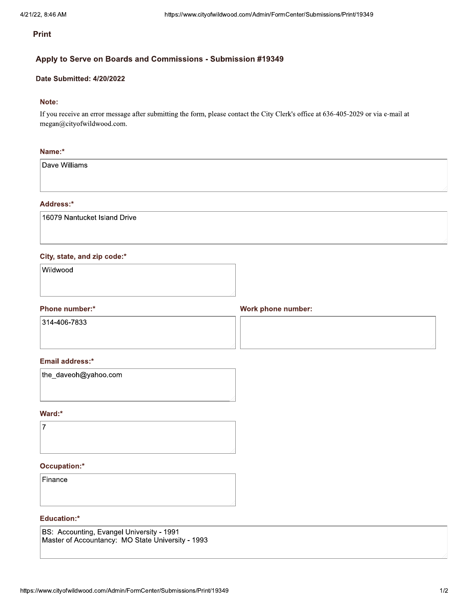## Apply to Serve on Boards and Commissions - Submission #19349

#### Date Submitted: 4/20/2022

## Note:

If you receive an error message after submitting the form, please contact the City Clerk's office at 636-405-2029 or via e-mail at megan@cityofwildwood.com.

#### Name:\*

Dave Williams

#### Address:\*

16079 Nantucket Island Drive

### City, state, and zip code:\*

Wildwood

#### Phone number:\*

Work phone number:

314-406-7833

#### Email address:\*

| the_daveoh@yahoo.com |  |
|----------------------|--|
|                      |  |
|                      |  |

#### Ward:\*



## Occupation:\*

Finance

#### **Education:\***

BS: Accounting, Evangel University - 1991 Master of Accountancy: MO State University - 1993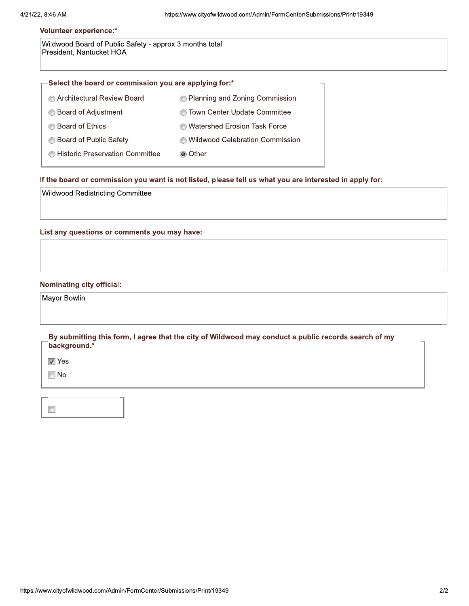Wildwood Board of Public Safety - approx 3 months total President, Nantucket HOA

| $\mathbf{-}$ Select the board or commission you are applying for:* |                                     |  |
|--------------------------------------------------------------------|-------------------------------------|--|
| Architectural Review Board                                         | • Planning and Zoning Commission    |  |
| Board of Adjustment<br>⊙                                           | Town Center Update Committee<br>⊙   |  |
| <b>Board of Ethics</b>                                             | <b>Matershed Erosion Task Force</b> |  |
| Board of Public Safety                                             | Wildwood Celebration Commission     |  |
| Historic Preservation Committee                                    | ◉ Other                             |  |

#### If the board or commission you want is not listed, please tell us what you are interested in apply for:

Wildwood Redistricting Committee

List any questions or comments you may have:

#### **Nominating city official:**

Mayor Bowlin

By submitting this form, I agree that the city of Wildwood may conduct a public records search of my background.\*

 $\boxed{V}$  Yes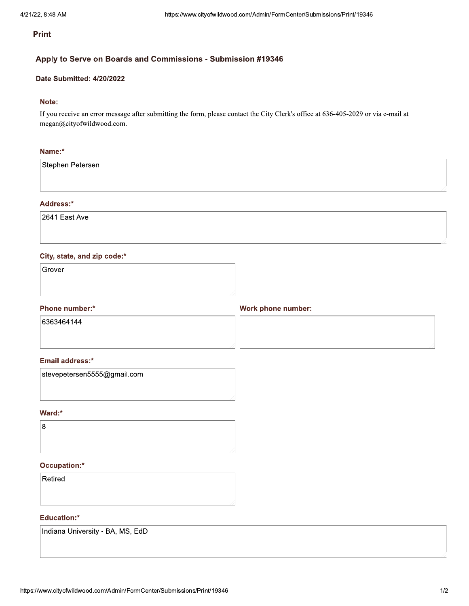## Apply to Serve on Boards and Commissions - Submission #19346

## Date Submitted: 4/20/2022

## Note:

If you receive an error message after submitting the form, please contact the City Clerk's office at 636-405-2029 or via e-mail at megan@cityofwildwood.com.

#### Name:\*

Stephen Petersen

#### Address:\*

2641 East Ave

#### City, state, and zip code:\*

Grover

## Phone number:\*

**Work phone number:** 

6363464144

### Email address:\*

stevepetersen5555@gmail.com

## Ward:\*

8

## Occupation:\*

Retired

#### **Education:\***

Indiana University - BA, MS, EdD